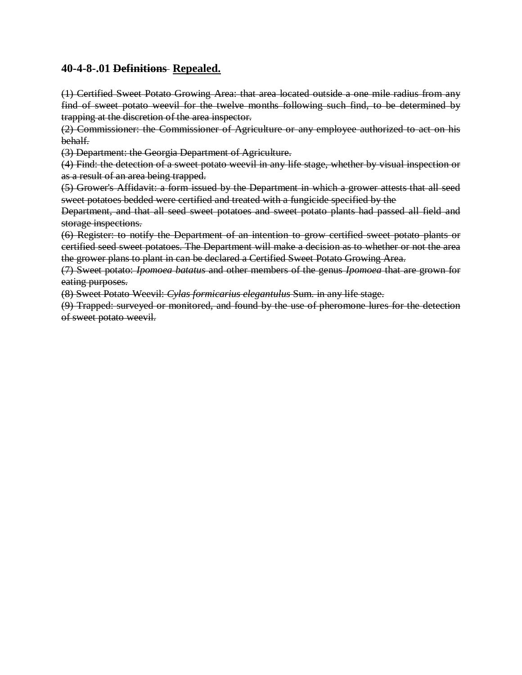## **40-4-8-.01 Definitions Repealed.**

(1) Certified Sweet Potato Growing Area: that area located outside a one mile radius from any find of sweet potato weevil for the twelve months following such find, to be determined by trapping at the discretion of the area inspector.

(2) Commissioner: the Commissioner of Agriculture or any employee authorized to act on his behalf.

(3) Department: the Georgia Department of Agriculture.

(4) Find: the detection of a sweet potato weevil in any life stage, whether by visual inspection or as a result of an area being trapped.

(5) Grower's Affidavit: a form issued by the Department in which a grower attests that all seed sweet potatoes bedded were certified and treated with a fungicide specified by the

Department, and that all seed sweet potatoes and sweet potato plants had passed all field and storage inspections.

(6) Register: to notify the Department of an intention to grow certified sweet potato plants or certified seed sweet potatoes. The Department will make a decision as to whether or not the area the grower plans to plant in can be declared a Certified Sweet Potato Growing Area.

(7) Sweet potato: *Ipomoea batatus* and other members of the genus *Ipomoea* that are grown for eating purposes.

(8) Sweet Potato Weevil: *Cylas formicarius elegantulus* Sum. in any life stage.

(9) Trapped: surveyed or monitored, and found by the use of pheromone lures for the detection of sweet potato weevil.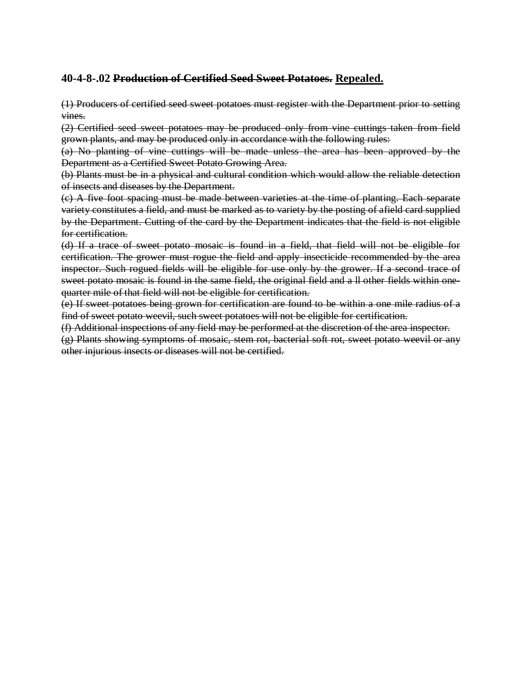# **40-4-8-.02 Production of Certified Seed Sweet Potatoes. Repealed.**

(1) Producers of certified seed sweet potatoes must register with the Department prior to setting vines.

(2) Certified seed sweet potatoes may be produced only from vine cuttings taken from field grown plants, and may be produced only in accordance with the following rules:

(a) No planting of vine cuttings will be made unless the area has been approved by the Department as a Certified Sweet Potato Growing Area.

(b) Plants must be in a physical and cultural condition which would allow the reliable detection of insects and diseases by the Department.

(c) A five foot spacing must be made between varieties at the time of planting. Each separate variety constitutes a field, and must be marked as to variety by the posting of afield card supplied by the Department. Cutting of the card by the Department indicates that the field is not eligible for certification.

(d) If a trace of sweet potato mosaic is found in a field, that field will not be eligible for certification. The grower must rogue the field and apply insecticide recommended by the area inspector. Such rogued fields will be eligible for use only by the grower. If a second trace of sweet potato mosaic is found in the same field, the original field and a ll other fields within onequarter mile of that field will not be eligible for certification.

(e) If sweet potatoes being grown for certification are found to be within a one mile radius of a find of sweet potato weevil, such sweet potatoes will not be eligible for certification.

(f) Additional inspections of any field may be performed at the discretion of the area inspector.

(g) Plants showing symptoms of mosaic, stem rot, bacterial soft rot, sweet potato weevil or any other injurious insects or diseases will not be certified.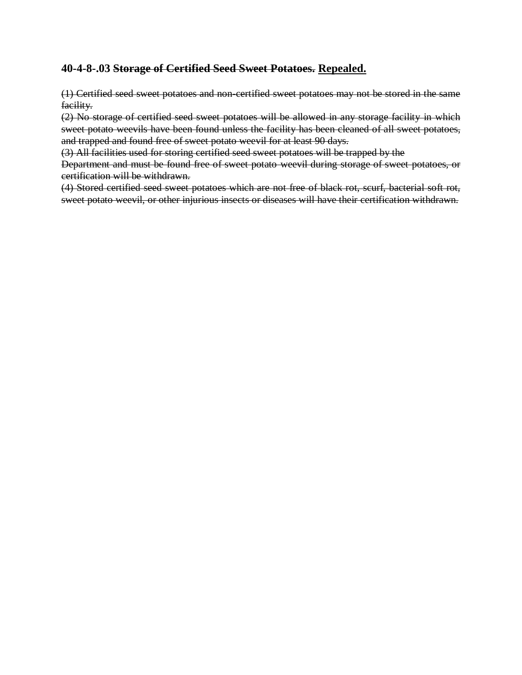## **40-4-8-.03 Storage of Certified Seed Sweet Potatoes. Repealed.**

(1) Certified seed sweet potatoes and non-certified sweet potatoes may not be stored in the same facility.

(2) No storage of certified seed sweet potatoes will be allowed in any storage facility in which sweet potato weevils have been found unless the facility has been cleaned of all sweet potatoes, and trapped and found free of sweet potato weevil for at least 90 days.

(3) All facilities used for storing certified seed sweet potatoes will be trapped by the

Department and must be found free of sweet potato weevil during storage of sweet potatoes, or certification will be withdrawn.

(4) Stored certified seed sweet potatoes which are not free of black rot, scurf, bacterial soft rot, sweet potato weevil, or other injurious insects or diseases will have their certification withdrawn.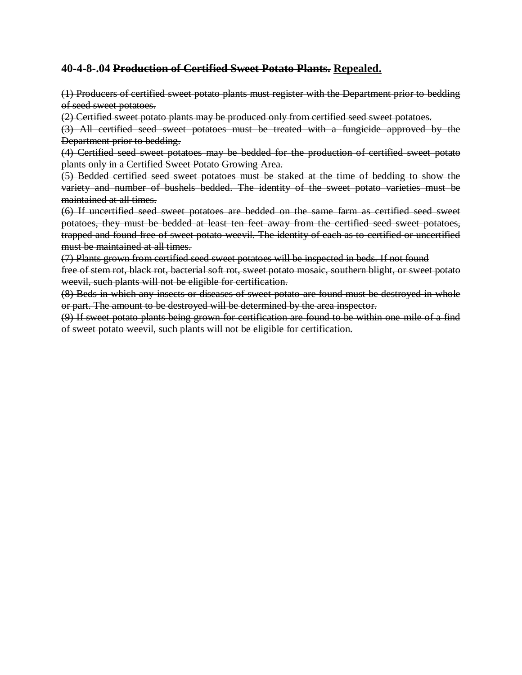## **40-4-8-.04 Production of Certified Sweet Potato Plants. Repealed.**

(1) Producers of certified sweet potato plants must register with the Department prior to bedding of seed sweet potatoes.

(2) Certified sweet potato plants may be produced only from certified seed sweet potatoes.

(3) All certified seed sweet potatoes must be treated with a fungicide approved by the Department prior to bedding.

(4) Certified seed sweet potatoes may be bedded for the production of certified sweet potato plants only in a Certified Sweet Potato Growing Area.

(5) Bedded certified seed sweet potatoes must be staked at the time of bedding to show the variety and number of bushels bedded. The identity of the sweet potato varieties must be maintained at all times.

(6) If uncertified seed sweet potatoes are bedded on the same farm as certified seed sweet potatoes, they must be bedded at least ten feet away from the certified seed sweet potatoes, trapped and found free of sweet potato weevil. The identity of each as to certified or uncertified must be maintained at all times.

(7) Plants grown from certified seed sweet potatoes will be inspected in beds. If not found

free of stem rot, black rot, bacterial soft rot, sweet potato mosaic, southern blight, or sweet potato weevil, such plants will not be eligible for certification.

(8) Beds in which any insects or diseases of sweet potato are found must be destroyed in whole or part. The amount to be destroyed will be determined by the area inspector.

(9) If sweet potato plants being grown for certification are found to be within one mile of a find of sweet potato weevil, such plants will not be eligible for certification.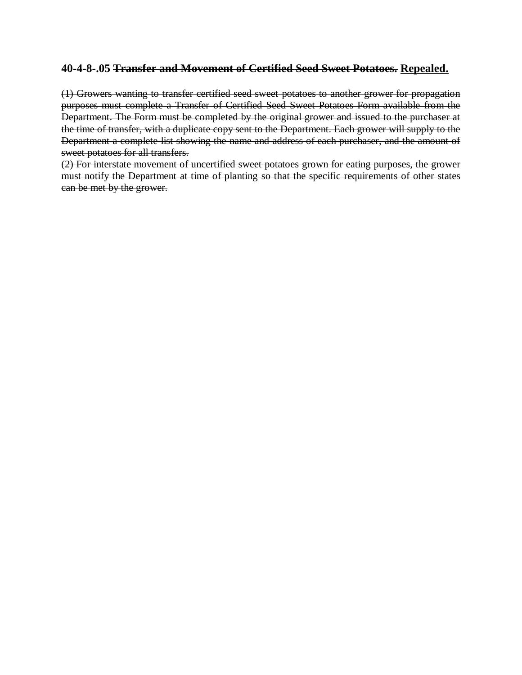#### **40-4-8-.05 Transfer and Movement of Certified Seed Sweet Potatoes. Repealed.**

(1) Growers wanting to transfer certified seed sweet potatoes to another grower for propagation purposes must complete a Transfer of Certified Seed Sweet Potatoes Form available from the Department. The Form must be completed by the original grower and issued to the purchaser at the time of transfer, with a duplicate copy sent to the Department. Each grower will supply to the Department a complete list showing the name and address of each purchaser, and the amount of sweet potatoes for all transfers.

(2) For interstate movement of uncertified sweet potatoes grown for eating purposes, the grower must notify the Department at time of planting so that the specific requirements of other states can be met by the grower.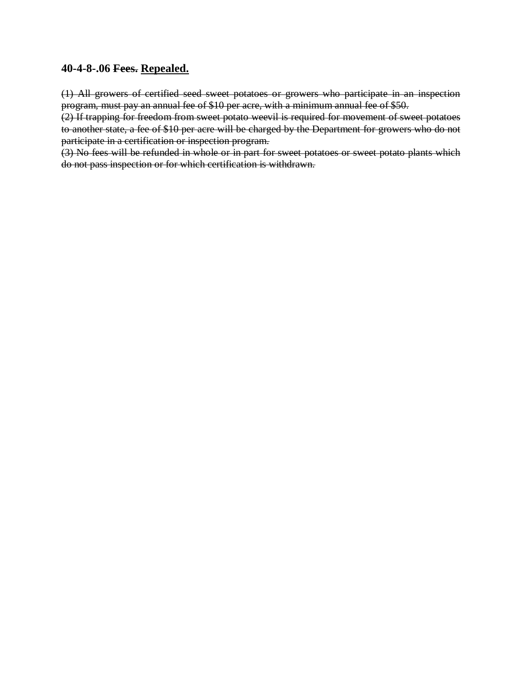#### **40-4-8-.06 Fees. Repealed.**

(1) All growers of certified seed sweet potatoes or growers who participate in an inspection program, must pay an annual fee of \$10 per acre, with a minimum annual fee of \$50.

(2) If trapping for freedom from sweet potato weevil is required for movement of sweet potatoes to another state, a fee of \$10 per acre will be charged by the Department for growers who do not participate in a certification or inspection program.

(3) No fees will be refunded in whole or in part for sweet potatoes or sweet potato plants which do not pass inspection or for which certification is withdrawn.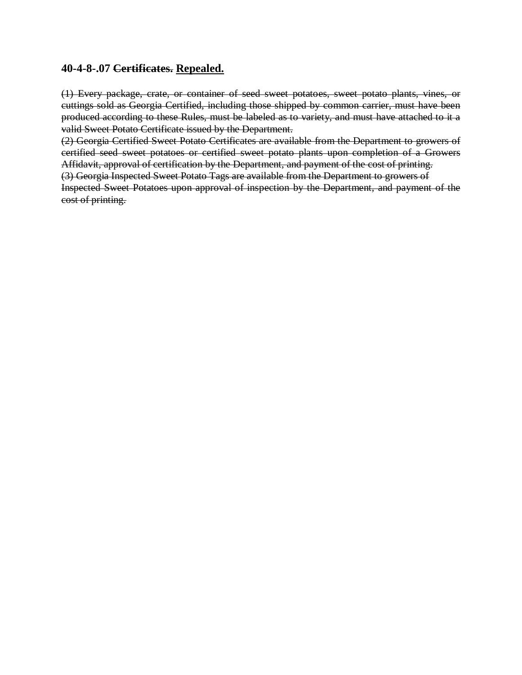#### **40-4-8-.07 Certificates. Repealed.**

(1) Every package, crate, or container of seed sweet potatoes, sweet potato plants, vines, or cuttings sold as Georgia Certified, including those shipped by common carrier, must have been produced according to these Rules, must be labeled as to variety, and must have attached to it a valid Sweet Potato Certificate issued by the Department.

(2) Georgia Certified Sweet Potato Certificates are available from the Department to growers of certified seed sweet potatoes or certified sweet potato plants upon completion of a Growers Affidavit, approval of certification by the Department, and payment of the cost of printing.

(3) Georgia Inspected Sweet Potato Tags are available from the Department to growers of

Inspected Sweet Potatoes upon approval of inspection by the Department, and payment of the cost of printing.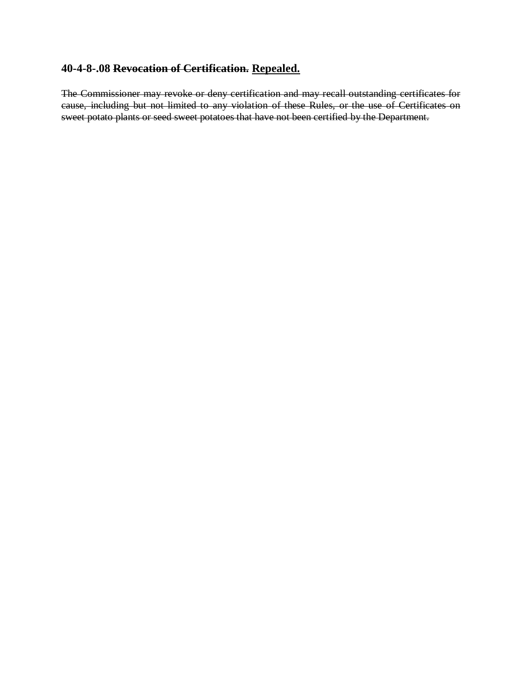## **40-4-8-.08 Revocation of Certification. Repealed.**

The Commissioner may revoke or deny certification and may recall outstanding certificates for cause, including but not limited to any violation of these Rules, or the use of Certificates on sweet potato plants or seed sweet potatoes that have not been certified by the Department.